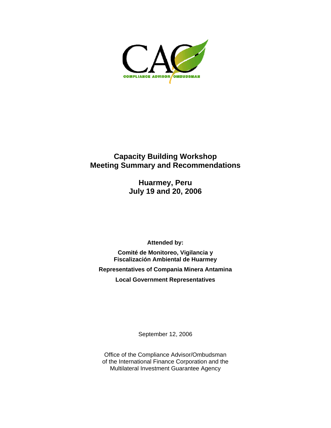

# **Capacity Building Workshop Meeting Summary and Recommendations**

**Huarmey, Peru July 19 and 20, 2006** 

**Attended by:** 

**Comité de Monitoreo, Vigilancia y Fiscalización Ambiental de Huarmey** 

**Representatives of Compania Minera Antamina** 

**Local Government Representatives** 

September 12, 2006

Office of the Compliance Advisor/Ombudsman of the International Finance Corporation and the Multilateral Investment Guarantee Agency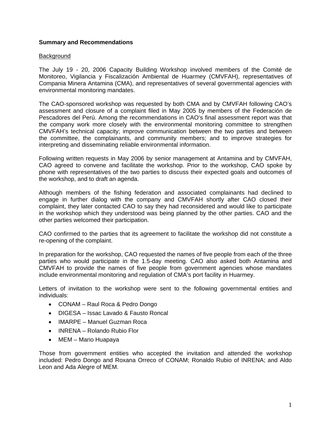# **Summary and Recommendations**

## **Background**

The July 19 - 20, 2006 Capacity Building Workshop involved members of the Comité de Monitoreo, Vigilancia y Fiscalización Ambiental de Huarmey (CMVFAH), representatives of Compania Minera Antamina (CMA), and representatives of several governmental agencies with environmental monitoring mandates.

The CAO-sponsored workshop was requested by both CMA and by CMVFAH following CAO's assessment and closure of a complaint filed in May 2005 by members of the Federación de Pescadores del Perú. Among the recommendations in CAO's final assessment report was that the company work more closely with the environmental monitoring committee to strengthen CMVFAH's technical capacity; improve communication between the two parties and between the committee, the complainants, and community members; and to improve strategies for interpreting and disseminating reliable environmental information.

Following written requests in May 2006 by senior management at Antamina and by CMVFAH, CAO agreed to convene and facilitate the workshop. Prior to the workshop, CAO spoke by phone with representatives of the two parties to discuss their expected goals and outcomes of the workshop, and to draft an agenda.

Although members of the fishing federation and associated complainants had declined to engage in further dialog with the company and CMVFAH shortly after CAO closed their complaint, they later contacted CAO to say they had reconsidered and would like to participate in the workshop which they understood was being planned by the other parties. CAO and the other parties welcomed their participation.

CAO confirmed to the parties that its agreement to facilitate the workshop did not constitute a re-opening of the complaint.

In preparation for the workshop, CAO requested the names of five people from each of the three parties who would participate in the 1.5-day meeting. CAO also asked both Antamina and CMVFAH to provide the names of five people from government agencies whose mandates include environmental monitoring and regulation of CMA's port facility in Huarmey.

Letters of invitation to the workshop were sent to the following governmental entities and individuals:

- CONAM Raul Roca & Pedro Dongo
- DIGESA Issac Lavado & Fausto Roncal
- IMARPE Manuel Guzman Roca
- INRENA Rolando Rubio Flor
- MEM Mario Huapaya

Those from government entities who accepted the invitation and attended the workshop included: Pedro Dongo and Roxana Orreco of CONAM; Ronaldo Rubio of INRENA; and Aldo Leon and Ada Alegre of MEM.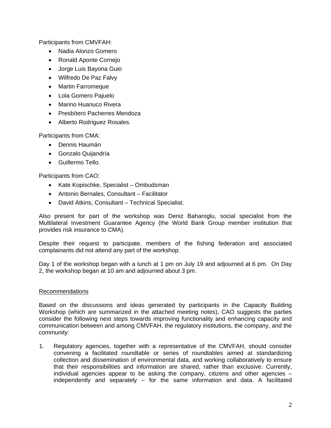Participants from CMVFAH:

- Nadia Alonzo Gomero
- Ronald Aponte Cornejo
- Jorge Luis Bayona Guio
- Wilfredo De Paz Falvy
- Martin Farromeque
- Lola Gomero Pajuelo
- Marino Huanuco Rivera
- Presbítero Pacherres Mendoza
- Alberto Rodriguez Rosales.

Participants from CMA:

- Dennis Haumán
- Gonzalo Quijandría
- Guillermo Tello.

Participants from CAO:

- Kate Kopischke, Specialist Ombudsman
- Antonio Bernales, Consultant Facilitator
- David Atkins, Consultant Technical Specialist.

Also present for part of the workshop was Deniz Baharoglu, social specialist from the Multilateral Investment Guarantee Agency (the World Bank Group member institution that provides risk insurance to CMA).

Despite their request to participate, members of the fishing federation and associated complainants did not attend any part of the workshop.

Day 1 of the workshop began with a lunch at 1 pm on July 19 and adjourned at 6 pm. On Day 2, the workshop began at 10 am and adjourned about 3 pm.

# **Recommendations**

Based on the discussions and ideas generated by participants in the Capacity Building Workshop (which are summarized in the attached meeting notes), CAO suggests the parties consider the following next steps towards improving functionality and enhancing capacity and communication between and among CMVFAH, the regulatory institutions, the company, and the community:

1. Regulatory agencies, together with a representative of the CMVFAH, should consider convening a facilitated roundtable or series of roundtables aimed at standardizing collection and dissemination of environmental data, and working collaboratively to ensure that their responsibilities and information are shared, rather than exclusive. Currently, individual agencies appear to be asking the company, citizens and other agencies – independently and separately – for the same information and data. A facilitated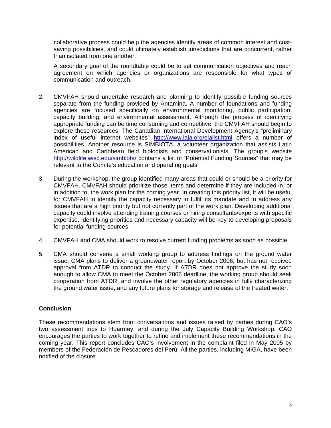collaborative process could help the agencies identify areas of common interest and costsaving possibilities, and could ultimately establish jurisdictions that are concurrent, rather than isolated from one another.

A secondary goal of the roundtable could be to set communication objectives and reach agreement on which agencies or organizations are responsible for what types of communication and outreach.

- 2. CMVFAH should undertake research and planning to identify possible funding sources separate from the funding provided by Antamina. A number of foundations and funding agencies are focused specifically on environmental monitoring, public participation, capacity building, and environmental assessment. Although the process of identifying appropriate funding can be time consuming and competitive, the CMVFAH should begin to explore these resources. The Canadian International Development Agency's "preliminary index of useful internet websites" <http://www.iaia.org/eialist.html>offers a number of possibilities. Another resource is SIMBIOTA, a volunteer organization that assists Latin American and Caribbean field biologists and conservationists. The group's website <http://wildlife.wisc.edu/simbiota/> contains a list of "Potential Funding Sources" that may be relevant to the Comite's education and operating goals.
- 3. During the workshop, the group identified many areas that could or should be a priority for CMVFAH. CMVFAH should prioritize those items and determine if they are included in, or in addition to, the work plan for the coming year. In creating this priority list, it will be useful for CMVFAH to identify the capacity necessary to fulfill its mandate and to address any issues that are a high priority but not currently part of the work plan. Developing additional capacity could involve attending training courses or hiring consultants/experts with specific expertise. Identifying priorities and necessary capacity will be key to developing proposals for potential funding sources.
- 4. CMVFAH and CMA should work to resolve current funding problems as soon as possible.
- 5. CMA should convene a small working group to address findings on the ground water issue. CMA plans to deliver a groundwater report by October 2006, but has not received approval from ATDR to conduct the study. If ATDR does not approve the study soon enough to allow CMA to meet the October 2006 deadline, the working group should seek cooperation from ATDR, and involve the other regulatory agencies in fully characterizing the ground water issue, and any future plans for storage and release of the treated water.

# **Conclusion**

These recommendations stem from conversations and issues raised by parties during CAO's two assessment trips to Huarmey, and during the July Capacity Building Workshop. CAO encourages the parties to work together to refine and implement these recommendations in the coming year. This report concludes CAO's involvement in the complaint filed in May 2005 by members of the Federación de Pescadores del Perú. All the parties, including MIGA, have been notified of the closure.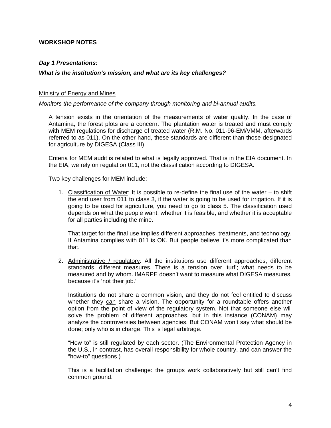# **WORKSHOP NOTES**

# *Day 1 Presentations:*

# *What is the institution's mission, and what are its key challenges?*

#### Ministry of Energy and Mines

*Monitors the performance of the company through monitoring and bi-annual audits.* 

A tension exists in the orientation of the measurements of water quality. In the case of Antamina, the forest plots are a concern. The plantation water is treated and must comply with MEM regulations for discharge of treated water (R.M. No. 011-96-EM/VMM, afterwards referred to as 011). On the other hand, these standards are different than those designated for agriculture by DIGESA (Class III).

Criteria for MEM audit is related to what is legally approved. That is in the EIA document. In the EIA, we rely on regulation 011, not the classification according to DIGESA.

Two key challenges for MEM include:

1. Classification of Water: It is possible to re-define the final use of the water – to shift the end user from 011 to class 3, if the water is going to be used for irrigation. If it is going to be used for agriculture, you need to go to class 5. The classification used depends on what the people want, whether it is feasible, and whether it is acceptable for all parties including the mine.

That target for the final use implies different approaches, treatments, and technology. If Antamina complies with 011 is OK. But people believe it's more complicated than that.

2. Administrative / regulatory: All the institutions use different approaches, different standards, different measures. There is a tension over 'turf'; what needs to be measured and by whom. IMARPE doesn't want to measure what DIGESA measures, because it's 'not their job.'

Institutions do not share a common vision, and they do not feel entitled to discuss whether they can share a vision. The opportunity for a roundtable offers another option from the point of view of the regulatory system. Not that someone else will solve the problem of different approaches, but in this instance (CONAM) may analyze the controversies between agencies. But CONAM won't say what should be done; only who is in charge. This is legal arbitrage.

"How to" is still regulated by each sector. (The Environmental Protection Agency in the U.S., in contrast, has overall responsibility for whole country, and can answer the "how-to" questions.)

This is a facilitation challenge: the groups work collaboratively but still can't find common ground.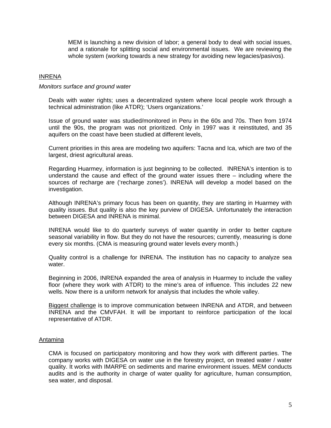MEM is launching a new division of labor; a general body to deal with social issues, and a rationale for splitting social and environmental issues. We are reviewing the whole system (working towards a new strategy for avoiding new legacies/pasivos).

#### INRENA

#### *Monitors surface and ground water*

Deals with water rights; uses a decentralized system where local people work through a technical administration (like ATDR); 'Users organizations.'

Issue of ground water was studied/monitored in Peru in the 60s and 70s. Then from 1974 until the 90s, the program was not prioritized. Only in 1997 was it reinstituted, and 35 aquifers on the coast have been studied at different levels,

Current priorities in this area are modeling two aquifers: Tacna and Ica, which are two of the largest, driest agricultural areas.

Regarding Huarmey, information is just beginning to be collected. INRENA's intention is to understand the cause and effect of the ground water issues there – including where the sources of recharge are ('recharge zones'). INRENA will develop a model based on the investigation.

Although INRENA's primary focus has been on quantity, they are starting in Huarmey with quality issues. But quality is also the key purview of DIGESA. Unfortunately the interaction between DIGESA and INRENA is minimal.

INRENA would like to do quarterly surveys of water quantity in order to better capture seasonal variability in flow. But they do not have the resources; currently, measuring is done every six months. (CMA is measuring ground water levels every month.)

Quality control is a challenge for INRENA. The institution has no capacity to analyze sea water.

Beginning in 2006, INRENA expanded the area of analysis in Huarmey to include the valley floor (where they work with ATDR) to the mine's area of influence. This includes 22 new wells. Now there is a uniform network for analysis that includes the whole valley.

Biggest challenge is to improve communication between INRENA and ATDR, and between INRENA and the CMVFAH. It will be important to reinforce participation of the local representative of ATDR.

#### Antamina

CMA is focused on participatory monitoring and how they work with different parties. The company works with DIGESA on water use in the forestry project, on treated water / water quality. It works with IMARPE on sediments and marine environment issues. MEM conducts audits and is the authority in charge of water quality for agriculture, human consumption, sea water, and disposal.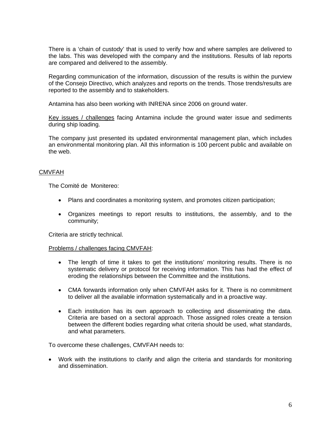There is a 'chain of custody' that is used to verify how and where samples are delivered to the labs. This was developed with the company and the institutions. Results of lab reports are compared and delivered to the assembly.

Regarding communication of the information, discussion of the results is within the purview of the Consejo Directivo, which analyzes and reports on the trends. Those trends/results are reported to the assembly and to stakeholders.

Antamina has also been working with INRENA since 2006 on ground water.

Key issues / challenges facing Antamina include the ground water issue and sediments during ship loading.

The company just presented its updated environmental management plan, which includes an environmental monitoring plan. All this information is 100 percent public and available on the web.

# CMVFAH

The Comité de Monitereo:

- Plans and coordinates a monitoring system, and promotes citizen participation;
- Organizes meetings to report results to institutions, the assembly, and to the community;

Criteria are strictly technical.

Problems / challenges facing CMVFAH:

- The length of time it takes to get the institutions' monitoring results. There is no systematic delivery or protocol for receiving information. This has had the effect of eroding the relationships between the Committee and the institutions.
- CMA forwards information only when CMVFAH asks for it. There is no commitment to deliver all the available information systematically and in a proactive way.
- Each institution has its own approach to collecting and disseminating the data. Criteria are based on a sectoral approach. Those assigned roles create a tension between the different bodies regarding what criteria should be used, what standards, and what parameters.

To overcome these challenges, CMVFAH needs to:

• Work with the institutions to clarify and align the criteria and standards for monitoring and dissemination.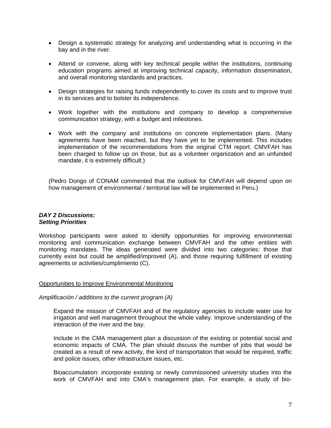- Design a systematic strategy for analyzing and understanding what is occurring in the bay and in the river.
- Attend or convene, along with key technical people within the institutions, continuing education programs aimed at improving technical capacity, information dissemination, and overall monitoring standards and practices.
- Design strategies for raising funds independently to cover its costs and to improve trust in its services and to bolster its independence.
- Work together with the institutions and company to develop a comprehensive communication strategy, with a budget and milestones.
- Work with the company and institutions on concrete implementation plans. (Many agreements have been reached, but they have yet to be implemented. This includes implementation of the recommendations from the original CTM report. CMVFAH has been charged to follow up on those, but as a volunteer organization and an unfunded mandate, it is extremely difficult.)

(Pedro Dongo of CONAM commented that the outlook for CMVFAH will depend upon on how management of environmental / territorial law will be implemented in Peru.)

## *DAY 2 Discussions: Setting Priorities*

Workshop participants were asked to identify opportunities for improving environmental monitoring and communication exchange between CMVFAH and the other entities with monitoring mandates. The ideas generated were divided into two categories: those that currently exist but could be amplified/improved (A), and those requiring fulfillment of existing agreements or activities/cumplimiento (C).

#### Opportunities to Improve Environmental Monitoring

*Amplificación / additions to the current program (A)* 

Expand the mission of CMVFAH and of the regulatory agencies to include water use for irrigation and well management throughout the whole valley. Improve understanding of the interaction of the river and the bay.

Include in the CMA management plan a discussion of the existing or potential social and economic impacts of CMA. The plan should discuss the number of jobs that would be created as a result of new activity, the kind of transportation that would be required, traffic and police issues, other infrastructure issues, etc.

Bioaccumulation: incorporate existing or newly commissioned university studies into the work of CMVFAH and into CMA's management plan. For example, a study of bio-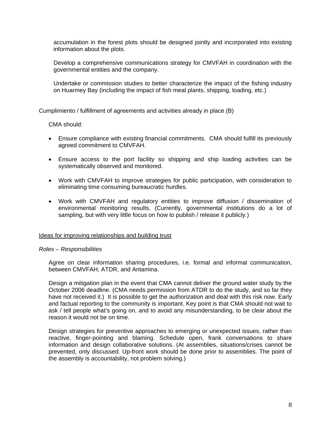accumulation in the forest plots should be designed jointly and incorporated into existing information about the plots.

Develop a comprehensive communications strategy for CMVFAH in coordination with the governmental entities and the company.

Undertake or commission studies to better characterize the impact of the fishing industry on Huarmey Bay (including the impact of fish meal plants, shipping, loading, etc.)

Cumplimiento / fulfillment of agreements and activities already in place (B)

CMA should:

- Ensure compliance with existing financial commitments. CMA should fulfill its previously agreed commitment to CMVFAH.
- Ensure access to the port facility so shipping and ship loading activities can be systematically observed and monitored.
- Work with CMVFAH to improve strategies for public participation, with consideration to eliminating time consuming bureaucratic hurdles.
- Work with CMVFAH and regulatory entities to improve diffusion / dissemination of environmental monitoring results. (Currently, governmental institutions do a lot of sampling, but with very little focus on how to publish / release it publicly.)

#### Ideas for improving relationships and building trust

#### *Roles – Responsibilities*

Agree on clear information sharing procedures, i.e. formal and informal communication, between CMVFAH, ATDR, and Antamina.

Design a mitigation plan in the event that CMA cannot deliver the ground water study by the October 2006 deadline. (CMA needs permission from ATDR to do the study, and so far they have not received it.) It is possible to get the authorization and deal with this risk now. Early and factual reporting to the community is important. Key point is that CMA should not wait to ask / tell people what's going on, and to avoid any misunderstanding, to be clear about the reason it would not be on time.

Design strategies for preventive approaches to emerging or unexpected issues, rather than reactive, finger-pointing and blaming. Schedule open, frank conversations to share information and design collaborative solutions. (At assemblies, situations/crises cannot be prevented, only discussed. Up-front work should be done prior to assemblies. The point of the assembly is accountability, not problem solving.)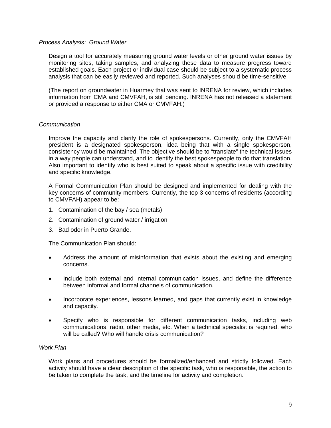#### *Process Analysis: Ground Water*

Design a tool for accurately measuring ground water levels or other ground water issues by monitoring sites, taking samples, and analyzing these data to measure progress toward established goals. Each project or individual case should be subject to a systematic process analysis that can be easily reviewed and reported. Such analyses should be time-sensitive.

(The report on groundwater in Huarmey that was sent to INRENA for review, which includes information from CMA and CMVFAH, is still pending. INRENA has not released a statement or provided a response to either CMA or CMVFAH.)

## *Communication*

Improve the capacity and clarify the role of spokespersons. Currently, only the CMVFAH president is a designated spokesperson, idea being that with a single spokesperson, consistency would be maintained. The objective should be to "translate" the technical issues in a way people can understand, and to identify the best spokespeople to do that translation. Also important to identify who is best suited to speak about a specific issue with credibility and specific knowledge.

A Formal Communication Plan should be designed and implemented for dealing with the key concerns of community members. Currently, the top 3 concerns of residents (according to CMVFAH) appear to be:

- 1. Contamination of the bay / sea (metals)
- 2. Contamination of ground water / irrigation
- 3. Bad odor in Puerto Grande.

The Communication Plan should:

- Address the amount of misinformation that exists about the existing and emerging concerns.
- Include both external and internal communication issues, and define the difference between informal and formal channels of communication.
- Incorporate experiences, lessons learned, and gaps that currently exist in knowledge and capacity.
- Specify who is responsible for different communication tasks, including web communications, radio, other media, etc. When a technical specialist is required, who will be called? Who will handle crisis communication?

# *Work Plan*

Work plans and procedures should be formalized/enhanced and strictly followed. Each activity should have a clear description of the specific task, who is responsible, the action to be taken to complete the task, and the timeline for activity and completion.